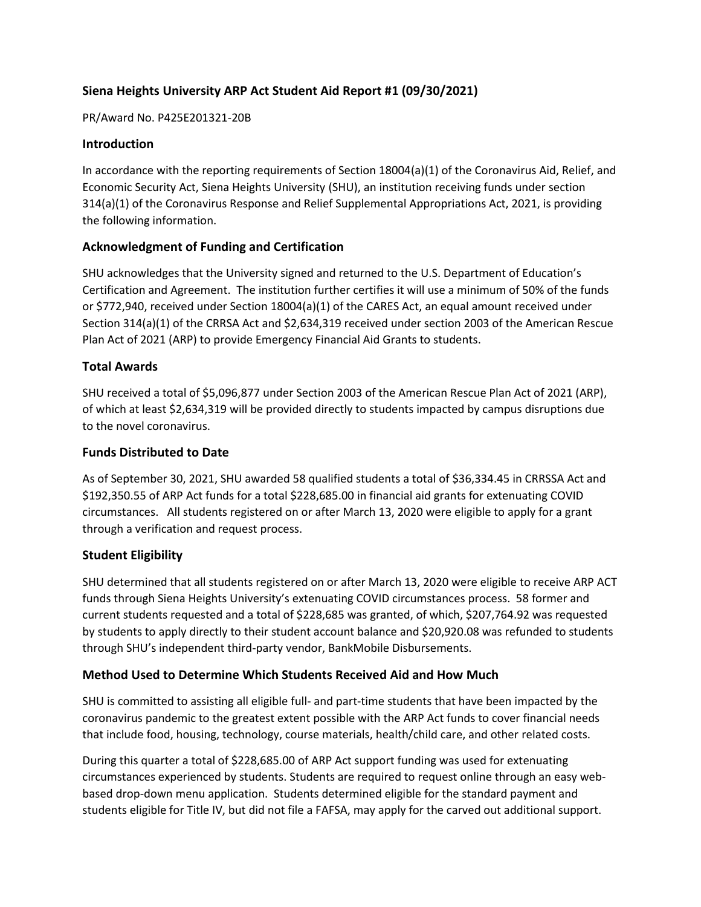# **Siena Heights University ARP Act Student Aid Report #1 (09/30/2021)**

PR/Award No. P425E201321-20B

## **Introduction**

In accordance with the reporting requirements of Section 18004(a)(1) of the Coronavirus Aid, Relief, and Economic Security Act, Siena Heights University (SHU), an institution receiving funds under section 314(a)(1) of the Coronavirus Response and Relief Supplemental Appropriations Act, 2021, is providing the following information.

## **Acknowledgment of Funding and Certification**

SHU acknowledges that the University signed and returned to the U.S. Department of Education's Certification and Agreement. The institution further certifies it will use a minimum of 50% of the funds or \$772,940, received under Section 18004(a)(1) of the CARES Act, an equal amount received under Section 314(a)(1) of the CRRSA Act and \$2,634,319 received under section 2003 of the American Rescue Plan Act of 2021 (ARP) to provide Emergency Financial Aid Grants to students.

## **Total Awards**

SHU received a total of \$5,096,877 under Section 2003 of the American Rescue Plan Act of 2021 (ARP), of which at least \$2,634,319 will be provided directly to students impacted by campus disruptions due to the novel coronavirus.

### **Funds Distributed to Date**

As of September 30, 2021, SHU awarded 58 qualified students a total of \$36,334.45 in CRRSSA Act and \$192,350.55 of ARP Act funds for a total \$228,685.00 in financial aid grants for extenuating COVID circumstances. All students registered on or after March 13, 2020 were eligible to apply for a grant through a verification and request process.

### **Student Eligibility**

SHU determined that all students registered on or after March 13, 2020 were eligible to receive ARP ACT funds through Siena Heights University's extenuating COVID circumstances process. 58 former and current students requested and a total of \$228,685 was granted, of which, \$207,764.92 was requested by students to apply directly to their student account balance and \$20,920.08 was refunded to students through SHU's independent third-party vendor, BankMobile Disbursements.

### **Method Used to Determine Which Students Received Aid and How Much**

SHU is committed to assisting all eligible full- and part-time students that have been impacted by the coronavirus pandemic to the greatest extent possible with the ARP Act funds to cover financial needs that include food, housing, technology, course materials, health/child care, and other related costs.

During this quarter a total of \$228,685.00 of ARP Act support funding was used for extenuating circumstances experienced by students. Students are required to request online through an easy webbased drop-down menu application. Students determined eligible for the standard payment and students eligible for Title IV, but did not file a FAFSA, may apply for the carved out additional support.